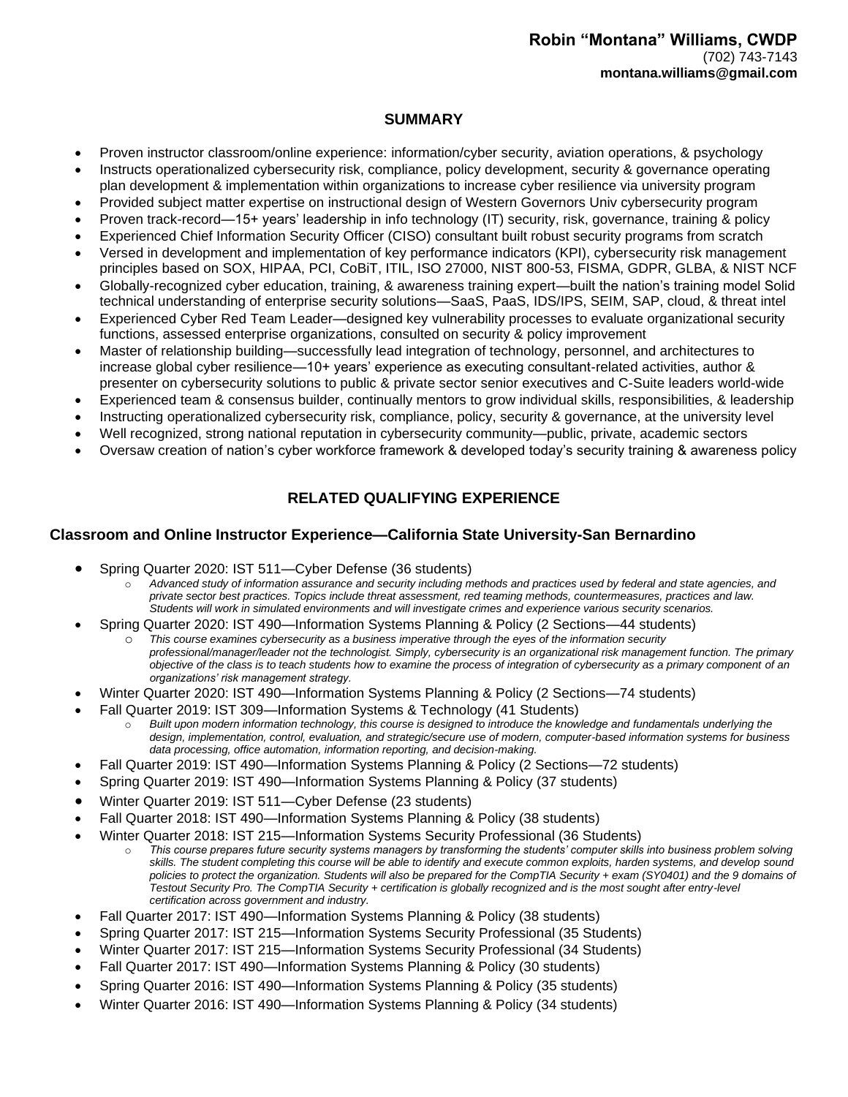#### **SUMMARY**

- Proven instructor classroom/online experience: information/cyber security, aviation operations, & psychology
- Instructs operationalized cybersecurity risk, compliance, policy development, security & governance operating plan development & implementation within organizations to increase cyber resilience via university program
- Provided subject matter expertise on instructional design of Western Governors Univ cybersecurity program
- Proven track-record—15+ years' leadership in info technology (IT) security, risk, governance, training & policy
- Experienced Chief Information Security Officer (CISO) consultant built robust security programs from scratch
- Versed in development and implementation of key performance indicators (KPI), cybersecurity risk management principles based on SOX, HIPAA, PCI, CoBiT, ITIL, ISO 27000, NIST 800-53, FISMA, GDPR, GLBA, & NIST NCF
- Globally-recognized cyber education, training, & awareness training expert—built the nation's training model Solid technical understanding of enterprise security solutions—SaaS, PaaS, IDS/IPS, SEIM, SAP, cloud, & threat intel
- Experienced Cyber Red Team Leader—designed key vulnerability processes to evaluate organizational security functions, assessed enterprise organizations, consulted on security & policy improvement
- Master of relationship building—successfully lead integration of technology, personnel, and architectures to increase global cyber resilience—10+ years' experience as executing consultant-related activities, author & presenter on cybersecurity solutions to public & private sector senior executives and C-Suite leaders world-wide
- Experienced team & consensus builder, continually mentors to grow individual skills, responsibilities, & leadership
- Instructing operationalized cybersecurity risk, compliance, policy, security & governance, at the university level
- Well recognized, strong national reputation in cybersecurity community—public, private, academic sectors
- Oversaw creation of nation's cyber workforce framework & developed today's security training & awareness policy

# **RELATED QUALIFYING EXPERIENCE**

#### **Classroom and Online Instructor Experience—California State University-San Bernardino**

- Spring Quarter 2020: IST 511—Cyber Defense (36 students)
	- o *Advanced study of information assurance and security including methods and practices used by federal and state agencies, and private sector best practices. Topics include threat assessment, red teaming methods, countermeasures, practices and law. Students will work in simulated environments and will investigate crimes and experience various security scenarios.*
- Spring Quarter 2020: IST 490—Information Systems Planning & Policy (2 Sections—44 students)
	- This course examines cybersecurity as a business imperative through the eyes of the information security *professional/manager/leader not the technologist. Simply, cybersecurity is an organizational risk management function. The primary objective of the class is to teach students how to examine the process of integration of cybersecurity as a primary component of an organizations' risk management strategy.*
- Winter Quarter 2020: IST 490—Information Systems Planning & Policy (2 Sections—74 students)
- Fall Quarter 2019: IST 309—Information Systems & Technology (41 Students)
	- Built upon modern information technology, this course is designed to introduce the knowledge and fundamentals underlying the *design, implementation, control, evaluation, and strategic/secure use of modern, computer-based information systems for business data processing, office automation, information reporting, and decision-making.*
- Fall Quarter 2019: IST 490—Information Systems Planning & Policy (2 Sections—72 students)
- Spring Quarter 2019: IST 490—Information Systems Planning & Policy (37 students)
- Winter Quarter 2019: IST 511—Cyber Defense (23 students)
- Fall Quarter 2018: IST 490—Information Systems Planning & Policy (38 students)
- Winter Quarter 2018: IST 215—Information Systems Security Professional (36 Students)
	- o *This course prepares future security systems managers by transforming the students' computer skills into business problem solving skills. The student completing this course will be able to identify and execute common exploits, harden systems, and develop sound policies to protect the organization. Students will also be prepared for the CompTIA Security + exam (SY0401) and the 9 domains of Testout Security Pro. The CompTIA Security + certification is globally recognized and is the most sought after entry-level certification across government and industry.*
- Fall Quarter 2017: IST 490—Information Systems Planning & Policy (38 students)
- Spring Quarter 2017: IST 215—Information Systems Security Professional (35 Students)
- Winter Quarter 2017: IST 215—Information Systems Security Professional (34 Students)
- Fall Quarter 2017: IST 490—Information Systems Planning & Policy (30 students)
- Spring Quarter 2016: IST 490—Information Systems Planning & Policy (35 students)
- Winter Quarter 2016: IST 490—Information Systems Planning & Policy (34 students)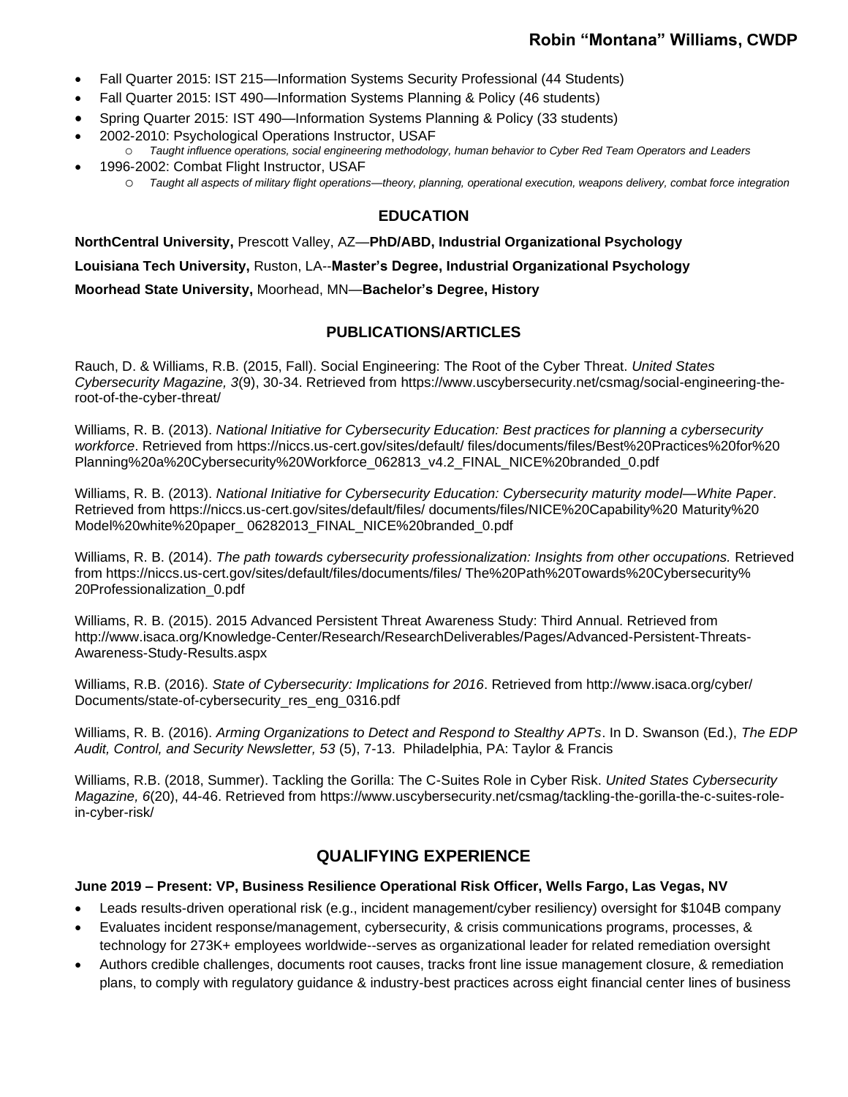- Fall Quarter 2015: IST 215—Information Systems Security Professional (44 Students)
- Fall Quarter 2015: IST 490—Information Systems Planning & Policy (46 students)
- Spring Quarter 2015: IST 490—Information Systems Planning & Policy (33 students)
- 2002-2010: Psychological Operations Instructor, USAF o *Taught influence operations, social engineering methodology, human behavior to Cyber Red Team Operators and Leaders*
	- 1996-2002: Combat Flight Instructor, USAF o *Taught all aspects of military flight operations—theory, planning, operational execution, weapons delivery, combat force integration*

#### **EDUCATION**

**NorthCentral University,** Prescott Valley, AZ—**PhD/ABD, Industrial Organizational Psychology Louisiana Tech University,** Ruston, LA--**Master's Degree, Industrial Organizational Psychology Moorhead State University,** Moorhead, MN*—***Bachelor's Degree, History**

## **PUBLICATIONS/ARTICLES**

Rauch, D. & Williams, R.B. (2015, Fall). Social Engineering: The Root of the Cyber Threat. *United States Cybersecurity Magazine, 3*(9), 30-34. Retrieved from https://www.uscybersecurity.net/csmag/social-engineering-theroot-of-the-cyber-threat/

Williams, R. B. (2013). *National Initiative for Cybersecurity Education: Best practices for planning a cybersecurity workforce*. Retrieved from https://niccs.us-cert.gov/sites/default/ files/documents/files/Best%20Practices%20for%20 Planning%20a%20Cybersecurity%20Workforce\_062813\_v4.2\_FINAL\_NICE%20branded\_0.pdf

Williams, R. B. (2013). *National Initiative for Cybersecurity Education: Cybersecurity maturity model—White Paper*. Retrieved from https://niccs.us-cert.gov/sites/default/files/ documents/files/NICE%20Capability%20 Maturity%20 Model%20white%20paper\_ 06282013\_FINAL\_NICE%20branded\_0.pdf

Williams, R. B. (2014). *The path towards cybersecurity professionalization: Insights from other occupations.* Retrieved from https://niccs.us-cert.gov/sites/default/files/documents/files/ The%20Path%20Towards%20Cybersecurity% 20Professionalization\_0.pdf

Williams, R. B. (2015). 2015 Advanced Persistent Threat Awareness Study: Third Annual. Retrieved from http://www.isaca.org/Knowledge-Center/Research/ResearchDeliverables/Pages/Advanced-Persistent-Threats-Awareness-Study-Results.aspx

Williams, R.B. (2016). *State of Cybersecurity: Implications for 2016*. Retrieved from http://www.isaca.org/cyber/ Documents/state-of-cybersecurity\_res\_eng\_0316.pdf

Williams, R. B. (2016). *Arming Organizations to Detect and Respond to Stealthy APTs*. In D. Swanson (Ed.), *The EDP Audit, Control, and Security Newsletter, 53* (5), 7-13. Philadelphia, PA: Taylor & Francis

Williams, R.B. (2018, Summer). Tackling the Gorilla: The C-Suites Role in Cyber Risk. *United States Cybersecurity Magazine, 6*(20), 44-46. Retrieved from https://www.uscybersecurity.net/csmag/tackling-the-gorilla-the-c-suites-rolein-cyber-risk/

# **QUALIFYING EXPERIENCE**

#### **June 2019 – Present: VP, Business Resilience Operational Risk Officer, Wells Fargo, Las Vegas, NV**

- Leads results-driven operational risk (e.g., incident management/cyber resiliency) oversight for \$104B company
- Evaluates incident response/management, cybersecurity, & crisis communications programs, processes, & technology for 273K+ employees worldwide--serves as organizational leader for related remediation oversight
- Authors credible challenges, documents root causes, tracks front line issue management closure, & remediation plans, to comply with regulatory guidance & industry-best practices across eight financial center lines of business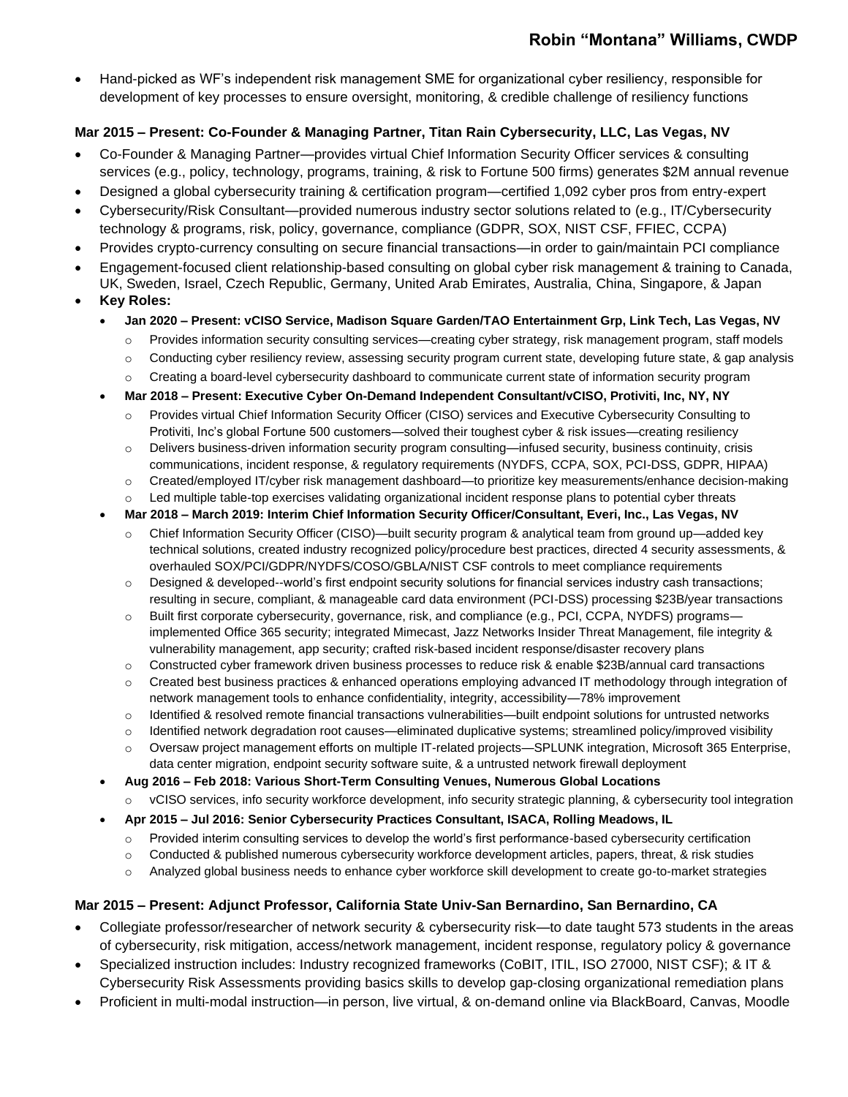# **Robin "Montana" Williams, CWDP**

• Hand-picked as WF's independent risk management SME for organizational cyber resiliency, responsible for development of key processes to ensure oversight, monitoring, & credible challenge of resiliency functions

## **Mar 2015 – Present: Co-Founder & Managing Partner, Titan Rain Cybersecurity, LLC, Las Vegas, NV**

- Co-Founder & Managing Partner—provides virtual Chief Information Security Officer services & consulting services (e.g., policy, technology, programs, training, & risk to Fortune 500 firms) generates \$2M annual revenue
- Designed a global cybersecurity training & certification program—certified 1,092 cyber pros from entry-expert
- Cybersecurity/Risk Consultant—provided numerous industry sector solutions related to (e.g., IT/Cybersecurity technology & programs, risk, policy, governance, compliance (GDPR, SOX, NIST CSF, FFIEC, CCPA)
- Provides crypto-currency consulting on secure financial transactions—in order to gain/maintain PCI compliance
- Engagement-focused client relationship-based consulting on global cyber risk management & training to Canada, UK, Sweden, Israel, Czech Republic, Germany, United Arab Emirates, Australia, China, Singapore, & Japan
- **Key Roles:**
	- **Jan 2020 – Present: vCISO Service, Madison Square Garden/TAO Entertainment Grp, Link Tech, Las Vegas, NV**
		- $\circ$  Provides information security consulting services—creating cyber strategy, risk management program, staff models
		- $\circ$  Conducting cyber resiliency review, assessing security program current state, developing future state, & gap analysis
		- o Creating a board-level cybersecurity dashboard to communicate current state of information security program
	- **Mar 2018 – Present: Executive Cyber On-Demand Independent Consultant/vCISO, Protiviti, Inc, NY, NY**
		- o Provides virtual Chief Information Security Officer (CISO) services and Executive Cybersecurity Consulting to Protiviti, Inc's global Fortune 500 customers—solved their toughest cyber & risk issues—creating resiliency
		- $\circ$  Delivers business-driven information security program consulting—infused security, business continuity, crisis communications, incident response, & regulatory requirements (NYDFS, CCPA, SOX, PCI-DSS, GDPR, HIPAA)
		- o Created/employed IT/cyber risk management dashboard—to prioritize key measurements/enhance decision-making
		- $\circ$  Led multiple table-top exercises validating organizational incident response plans to potential cyber threats
	- **Mar 2018 – March 2019: Interim Chief Information Security Officer/Consultant, Everi, Inc., Las Vegas, NV** 
		- o Chief Information Security Officer (CISO)—built security program & analytical team from ground up—added key technical solutions, created industry recognized policy/procedure best practices, directed 4 security assessments, & overhauled SOX/PCI/GDPR/NYDFS/COSO/GBLA/NIST CSF controls to meet compliance requirements
		- $\circ$  Designed & developed--world's first endpoint security solutions for financial services industry cash transactions; resulting in secure, compliant, & manageable card data environment (PCI-DSS) processing \$23B/year transactions
		- o Built first corporate cybersecurity, governance, risk, and compliance (e.g., PCI, CCPA, NYDFS) programs implemented Office 365 security; integrated Mimecast, Jazz Networks Insider Threat Management, file integrity & vulnerability management, app security; crafted risk-based incident response/disaster recovery plans
		- o Constructed cyber framework driven business processes to reduce risk & enable \$23B/annual card transactions
		- $\circ$  Created best business practices & enhanced operations employing advanced IT methodology through integration of network management tools to enhance confidentiality, integrity, accessibility—78% improvement
		- o Identified & resolved remote financial transactions vulnerabilities—built endpoint solutions for untrusted networks
		- $\circ$  Identified network degradation root causes—eliminated duplicative systems; streamlined policy/improved visibility
		- o Oversaw project management efforts on multiple IT-related projects—SPLUNK integration, Microsoft 365 Enterprise, data center migration, endpoint security software suite, & a untrusted network firewall deployment
	- **Aug 2016 – Feb 2018: Various Short-Term Consulting Venues, Numerous Global Locations** vCISO services, info security workforce development, info security strategic planning, & cybersecurity tool integration
	- **Apr 2015 – Jul 2016: Senior Cybersecurity Practices Consultant, ISACA, Rolling Meadows, IL**
		- o Provided interim consulting services to develop the world's first performance-based cybersecurity certification
		- $\circ$  Conducted & published numerous cybersecurity workforce development articles, papers, threat, & risk studies
		- o Analyzed global business needs to enhance cyber workforce skill development to create go-to-market strategies

## **Mar 2015 – Present: Adjunct Professor, California State Univ-San Bernardino, San Bernardino, CA**

- Collegiate professor/researcher of network security & cybersecurity risk—to date taught 573 students in the areas of cybersecurity, risk mitigation, access/network management, incident response, regulatory policy & governance
- Specialized instruction includes: Industry recognized frameworks (CoBIT, ITIL, ISO 27000, NIST CSF); & IT & Cybersecurity Risk Assessments providing basics skills to develop gap-closing organizational remediation plans
- Proficient in multi-modal instruction—in person, live virtual, & on-demand online via BlackBoard, Canvas, Moodle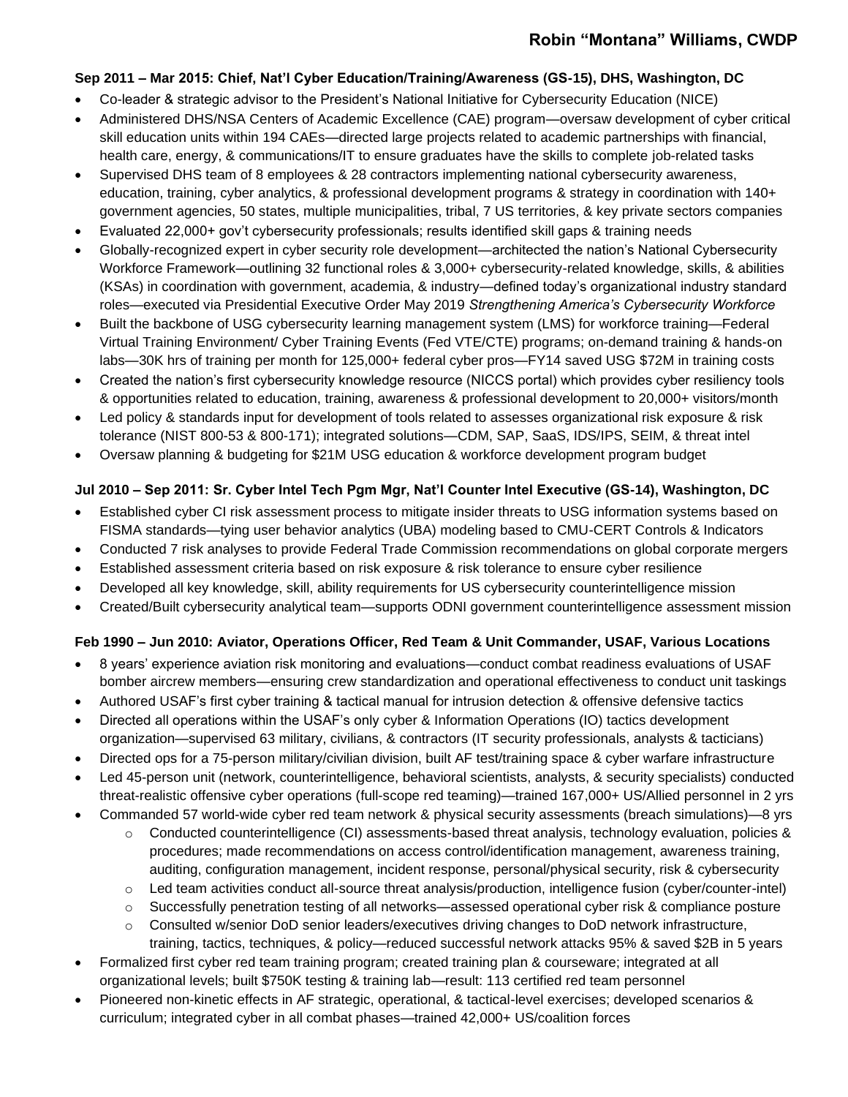#### **Sep 2011 – Mar 2015: Chief, Nat'l Cyber Education/Training/Awareness (GS-15), DHS, Washington, DC**

- Co-leader & strategic advisor to the President's National Initiative for Cybersecurity Education (NICE)
- Administered DHS/NSA Centers of Academic Excellence (CAE) program—oversaw development of cyber critical skill education units within 194 CAEs—directed large projects related to academic partnerships with financial, health care, energy, & communications/IT to ensure graduates have the skills to complete job-related tasks
- Supervised DHS team of 8 employees & 28 contractors implementing national cybersecurity awareness, education, training, cyber analytics, & professional development programs & strategy in coordination with 140+ government agencies, 50 states, multiple municipalities, tribal, 7 US territories, & key private sectors companies
- Evaluated 22,000+ gov't cybersecurity professionals; results identified skill gaps & training needs
- Globally-recognized expert in cyber security role development—architected the nation's National Cybersecurity Workforce Framework—outlining 32 functional roles & 3,000+ cybersecurity-related knowledge, skills, & abilities (KSAs) in coordination with government, academia, & industry—defined today's organizational industry standard roles—executed via Presidential Executive Order May 2019 *Strengthening America's Cybersecurity Workforce*
- Built the backbone of USG cybersecurity learning management system (LMS) for workforce training—Federal Virtual Training Environment/ Cyber Training Events (Fed VTE/CTE) programs; on-demand training & hands-on labs—30K hrs of training per month for 125,000+ federal cyber pros—FY14 saved USG \$72M in training costs
- Created the nation's first cybersecurity knowledge resource (NICCS portal) which provides cyber resiliency tools & opportunities related to education, training, awareness & professional development to 20,000+ visitors/month
- Led policy & standards input for development of tools related to assesses organizational risk exposure & risk tolerance (NIST 800-53 & 800-171); integrated solutions—CDM, SAP, SaaS, IDS/IPS, SEIM, & threat intel
- Oversaw planning & budgeting for \$21M USG education & workforce development program budget

## **Jul 2010 – Sep 2011: Sr. Cyber Intel Tech Pgm Mgr, Nat'l Counter Intel Executive (GS-14), Washington, DC**

- Established cyber CI risk assessment process to mitigate insider threats to USG information systems based on FISMA standards—tying user behavior analytics (UBA) modeling based to CMU-CERT Controls & Indicators
- Conducted 7 risk analyses to provide Federal Trade Commission recommendations on global corporate mergers
- Established assessment criteria based on risk exposure & risk tolerance to ensure cyber resilience
- Developed all key knowledge, skill, ability requirements for US cybersecurity counterintelligence mission
- Created/Built cybersecurity analytical team—supports ODNI government counterintelligence assessment mission

#### **Feb 1990 – Jun 2010: Aviator, Operations Officer, Red Team & Unit Commander, USAF, Various Locations**

- 8 years' experience aviation risk monitoring and evaluations—conduct combat readiness evaluations of USAF bomber aircrew members—ensuring crew standardization and operational effectiveness to conduct unit taskings
- Authored USAF's first cyber training & tactical manual for intrusion detection & offensive defensive tactics
- Directed all operations within the USAF's only cyber & Information Operations (IO) tactics development organization—supervised 63 military, civilians, & contractors (IT security professionals, analysts & tacticians)
- Directed ops for a 75-person military/civilian division, built AF test/training space & cyber warfare infrastructure
- Led 45-person unit (network, counterintelligence, behavioral scientists, analysts, & security specialists) conducted threat-realistic offensive cyber operations (full-scope red teaming)—trained 167,000+ US/Allied personnel in 2 yrs
- Commanded 57 world-wide cyber red team network & physical security assessments (breach simulations)—8 yrs
	- $\circ$  Conducted counterintelligence (CI) assessments-based threat analysis, technology evaluation, policies & procedures; made recommendations on access control/identification management, awareness training, auditing, configuration management, incident response, personal/physical security, risk & cybersecurity
	- $\circ$  Led team activities conduct all-source threat analysis/production, intelligence fusion (cyber/counter-intel)
	- $\circ$  Successfully penetration testing of all networks—assessed operational cyber risk & compliance posture
	- o Consulted w/senior DoD senior leaders/executives driving changes to DoD network infrastructure, training, tactics, techniques, & policy—reduced successful network attacks 95% & saved \$2B in 5 years
- Formalized first cyber red team training program; created training plan & courseware; integrated at all organizational levels; built \$750K testing & training lab—result: 113 certified red team personnel
- Pioneered non-kinetic effects in AF strategic, operational, & tactical-level exercises; developed scenarios & curriculum; integrated cyber in all combat phases—trained 42,000+ US/coalition forces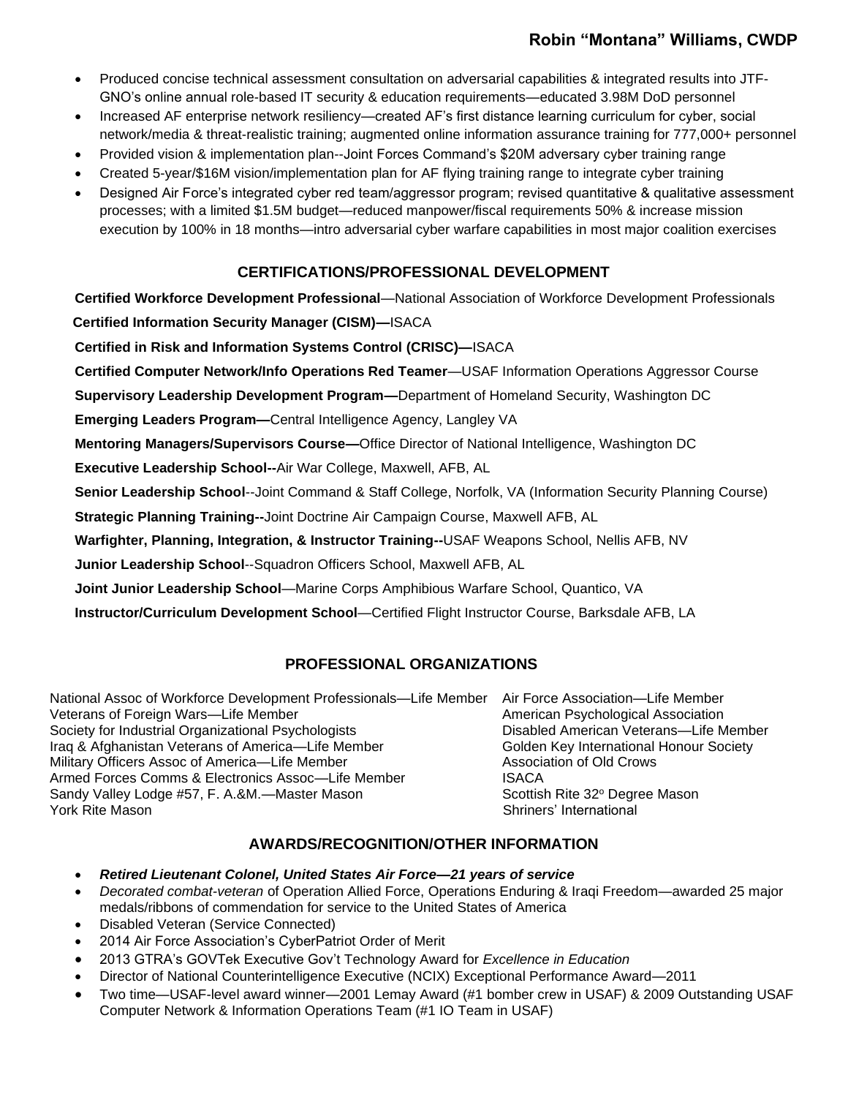# **Robin "Montana" Williams, CWDP**

- Produced concise technical assessment consultation on adversarial capabilities & integrated results into JTF-GNO's online annual role-based IT security & education requirements—educated 3.98M DoD personnel
- Increased AF enterprise network resiliency—created AF's first distance learning curriculum for cyber, social network/media & threat-realistic training; augmented online information assurance training for 777,000+ personnel
- Provided vision & implementation plan--Joint Forces Command's \$20M adversary cyber training range
- Created 5-year/\$16M vision/implementation plan for AF flying training range to integrate cyber training
- Designed Air Force's integrated cyber red team/aggressor program; revised quantitative & qualitative assessment processes; with a limited \$1.5M budget—reduced manpower/fiscal requirements 50% & increase mission execution by 100% in 18 months—intro adversarial cyber warfare capabilities in most major coalition exercises

## **CERTIFICATIONS/PROFESSIONAL DEVELOPMENT**

**Certified Workforce Development Professional**—National Association of Workforce Development Professionals  **Certified Information Security Manager (CISM)—**ISACA

**Certified in Risk and Information Systems Control (CRISC)—**ISACA

**Certified Computer Network/Info Operations Red Teamer**—USAF Information Operations Aggressor Course

**Supervisory Leadership Development Program—**Department of Homeland Security, Washington DC

**Emerging Leaders Program—**Central Intelligence Agency, Langley VA

**Mentoring Managers/Supervisors Course—**Office Director of National Intelligence, Washington DC

**Executive Leadership School--**Air War College, Maxwell, AFB, AL

**Senior Leadership School**--Joint Command & Staff College, Norfolk, VA (Information Security Planning Course)

**Strategic Planning Training--**Joint Doctrine Air Campaign Course, Maxwell AFB, AL

**Warfighter, Planning, Integration, & Instructor Training--**USAF Weapons School, Nellis AFB, NV

**Junior Leadership School**--Squadron Officers School, Maxwell AFB, AL

**Joint Junior Leadership School**—Marine Corps Amphibious Warfare School, Quantico, VA

**Instructor/Curriculum Development School**—Certified Flight Instructor Course, Barksdale AFB, LA

## **PROFESSIONAL ORGANIZATIONS**

National Assoc of Workforce Development Professionals—Life Member Air Force Association—Life Member Veterans of Foreign Wars—Life Member American Psychological Association Society for Industrial Organizational Psychologists **Disabled American Veterans—Life Member** Iraq & Afghanistan Veterans of America—Life Member Guilden Key International Honour Society Military Officers Assoc of America—Life Member **Association of Old Crows** Armed Forces Comms & Electronics Assoc--Life Member **ISACA** Sandy Valley Lodge #57, F. A.&M.—Master Mason Scottish Rite 32º Degree Mason Scottish Rite 32º Degree Mason Shriners' International

Shriners' International

## **AWARDS/RECOGNITION/OTHER INFORMATION**

- *Retired Lieutenant Colonel, United States Air Force—21 years of service*
- *Decorated combat-veteran* of Operation Allied Force, Operations Enduring & Iraqi Freedom—awarded 25 major medals/ribbons of commendation for service to the United States of America
- Disabled Veteran (Service Connected)
- 2014 Air Force Association's CyberPatriot Order of Merit
- 2013 GTRA's GOVTek Executive Gov't Technology Award for *Excellence in Education*
- Director of National Counterintelligence Executive (NCIX) Exceptional Performance Award—2011
- Two time—USAF-level award winner—2001 Lemay Award (#1 bomber crew in USAF) & 2009 Outstanding USAF Computer Network & Information Operations Team (#1 IO Team in USAF)